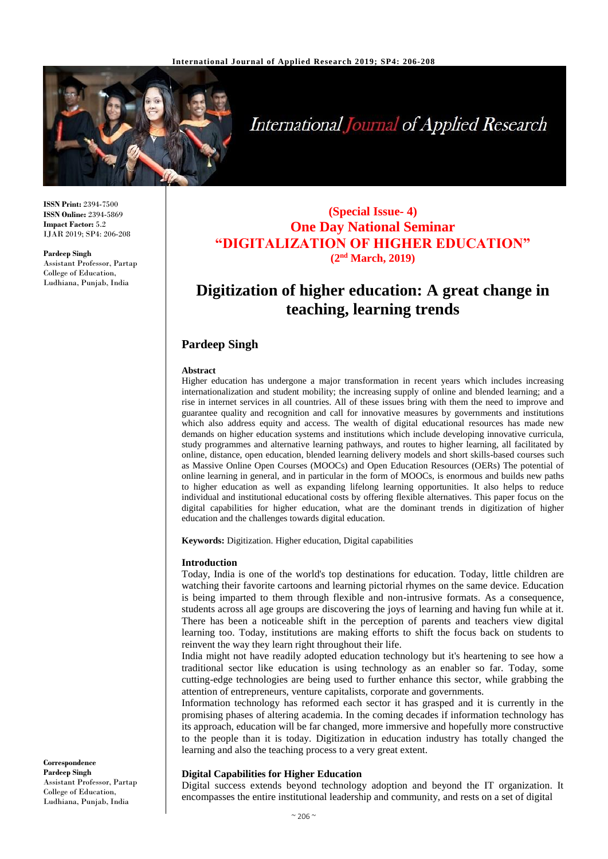

# **International Journal of Applied Research**

**ISSN Print:** 2394-7500 **ISSN Online:** 2394-5869 **Impact Factor:** 5.2 IJAR 2019; SP4: 206-208

**Pardeep Singh** Assistant Professor, Partap College of Education, Ludhiana, Punjab, India

### **(Special Issue- 4) One Day National Seminar "DIGITALIZATION OF HIGHER EDUCATION" (2nd March, 2019)**

## **Digitization of higher education: A great change in teaching, learning trends**

#### **Pardeep Singh**

#### **Abstract**

Higher education has undergone a major transformation in recent years which includes increasing internationalization and student mobility; the increasing supply of online and blended learning; and a rise in internet services in all countries. All of these issues bring with them the need to improve and guarantee quality and recognition and call for innovative measures by governments and institutions which also address equity and access. The wealth of digital educational resources has made new demands on higher education systems and institutions which include developing innovative curricula, study programmes and alternative learning pathways, and routes to higher learning, all facilitated by online, distance, open education, blended learning delivery models and short skills-based courses such as Massive Online Open Courses (MOOCs) and Open Education Resources (OERs) The potential of online learning in general, and in particular in the form of MOOCs, is enormous and builds new paths to higher education as well as expanding lifelong learning opportunities. It also helps to reduce individual and institutional educational costs by offering flexible alternatives. This paper focus on the digital capabilities for higher education, what are the dominant trends in digitization of higher education and the challenges towards digital education.

**Keywords:** Digitization. Higher education, Digital capabilities

#### **Introduction**

Today, India is one of the world's top destinations for education. Today, little children are watching their favorite cartoons and learning pictorial rhymes on the same device. Education is being imparted to them through flexible and non-intrusive formats. As a consequence, students across all age groups are discovering the joys of learning and having fun while at it. There has been a noticeable shift in the perception of parents and teachers view digital learning too. Today, institutions are making efforts to shift the focus back on students to reinvent the way they learn right throughout their life.

India might not have readily adopted education technology but it's heartening to see how a traditional sector like education is using technology as an enabler so far. Today, some cutting-edge technologies are being used to further enhance this sector, while grabbing the attention of entrepreneurs, venture capitalists, corporate and governments.

Information technology has reformed each sector it has grasped and it is currently in the promising phases of altering academia. In the coming decades if information technology has its approach, education will be far changed, more immersive and hopefully more constructive to the people than it is today. Digitization in education industry has totally changed the learning and also the teaching process to a very great extent.

#### **Digital Capabilities for Higher Education**

Digital success extends beyond technology adoption and beyond the IT organization. It encompasses the entire institutional leadership and community, and rests on a set of digital

**Correspondence Pardeep Singh** Assistant Professor, Partap College of Education, Ludhiana, Punjab, India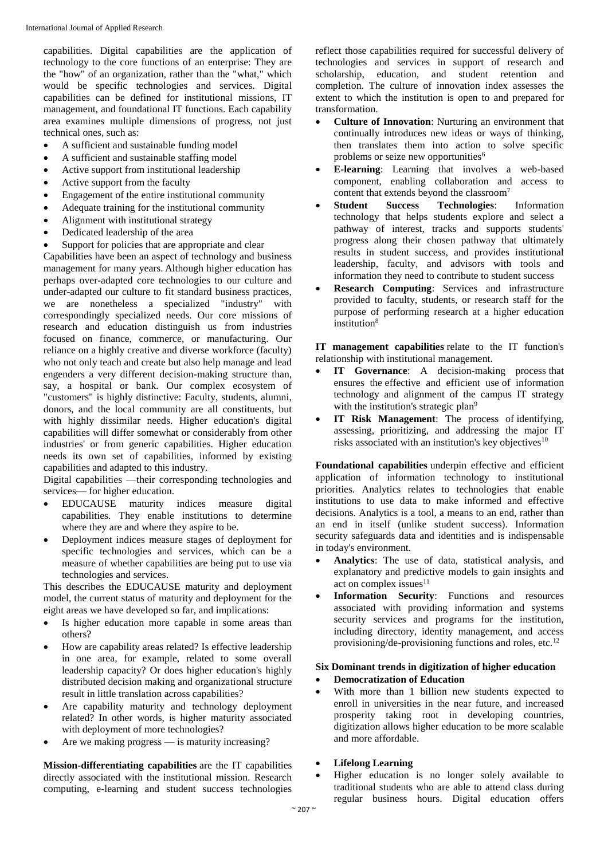capabilities. Digital capabilities are the application of technology to the core functions of an enterprise: They are the "how" of an organization, rather than the "what," which would be specific technologies and services. Digital capabilities can be defined for institutional missions, IT management, and foundational IT functions. Each capability area examines multiple dimensions of progress, not just technical ones, such as:

- A sufficient and sustainable funding model
- A sufficient and sustainable staffing model
- Active support from institutional leadership
- Active support from the faculty
- Engagement of the entire institutional community
- Adequate training for the institutional community
- Alignment with institutional strategy
- Dedicated leadership of the area
- Support for policies that are appropriate and clear

Capabilities have been an aspect of technology and business management for many years. Although higher education has perhaps over-adapted core technologies to our culture and under-adapted our culture to fit standard business practices, we are nonetheless a specialized "industry" with correspondingly specialized needs. Our core missions of research and education distinguish us from industries focused on finance, commerce, or manufacturing. Our reliance on a highly creative and diverse workforce (faculty) who not only teach and create but also help manage and lead engenders a very different decision-making structure than, say, a hospital or bank. Our complex ecosystem of "customers" is highly distinctive: Faculty, students, alumni, donors, and the local community are all constituents, but with highly dissimilar needs. Higher education's digital capabilities will differ somewhat or considerably from other industries' or from generic capabilities. Higher education needs its own set of capabilities, informed by existing capabilities and adapted to this industry.

Digital capabilities —their corresponding technologies and services— for higher education.

- EDUCAUSE maturity indices measure digital capabilities. They enable institutions to determine where they are and where they aspire to be.
- Deployment indices measure stages of deployment for specific technologies and services, which can be a measure of whether capabilities are being put to use via technologies and services.

This describes the EDUCAUSE maturity and deployment model, the current status of maturity and deployment for the eight areas we have developed so far, and implications:

- Is higher education more capable in some areas than others?
- How are capability areas related? Is effective leadership in one area, for example, related to some overall leadership capacity? Or does higher education's highly distributed decision making and organizational structure result in little translation across capabilities?
- Are capability maturity and technology deployment related? In other words, is higher maturity associated with deployment of more technologies?
- Are we making progress is maturity increasing?

**Mission-differentiating capabilities** are the IT capabilities directly associated with the institutional mission. Research computing, e-learning and student success technologies

reflect those capabilities required for successful delivery of technologies and services in support of research and scholarship, education, and student retention and completion. The culture of innovation index assesses the extent to which the institution is open to and prepared for transformation.

- **Culture of Innovation**: Nurturing an environment that continually introduces new ideas or ways of thinking, then translates them into action to solve specific problems or seize new opportunities<sup>6</sup>
- **E-learning**: Learning that involves a web-based component, enabling collaboration and access to content that extends beyond the classroom<sup>7</sup>
- **Student Success Technologies**: Information technology that helps students explore and select a pathway of interest, tracks and supports students' progress along their chosen pathway that ultimately results in student success, and provides institutional leadership, faculty, and advisors with tools and information they need to contribute to student success
- **Research Computing**: Services and infrastructure provided to faculty, students, or research staff for the purpose of performing research at a higher education institution<sup>8</sup>

**IT management capabilities** relate to the IT function's relationship with institutional management.

- **IT Governance**: A decision-making process that ensures the effective and efficient use of information technology and alignment of the campus IT strategy with the institution's strategic plan<sup>9</sup>
- **IT Risk Management**: The process of identifying, assessing, prioritizing, and addressing the major IT risks associated with an institution's key objectives $10$

**Foundational capabilities** underpin effective and efficient application of information technology to institutional priorities. Analytics relates to technologies that enable institutions to use data to make informed and effective decisions. Analytics is a tool, a means to an end, rather than an end in itself (unlike student success). Information security safeguards data and identities and is indispensable in today's environment.

- **Analytics**: The use of data, statistical analysis, and explanatory and predictive models to gain insights and act on complex issues $11$
- **Information Security**: Functions and resources associated with providing information and systems security services and programs for the institution, including directory, identity management, and access provisioning/de-provisioning functions and roles, etc.<sup>12</sup>

#### **Six Dominant trends in digitization of higher education**

- **Democratization of Education**
- With more than 1 billion new students expected to enroll in universities in the near future, and increased prosperity taking root in developing countries, digitization allows higher education to be more scalable and more affordable.

#### **Lifelong Learning**

 Higher education is no longer solely available to traditional students who are able to attend class during regular business hours. Digital education offers